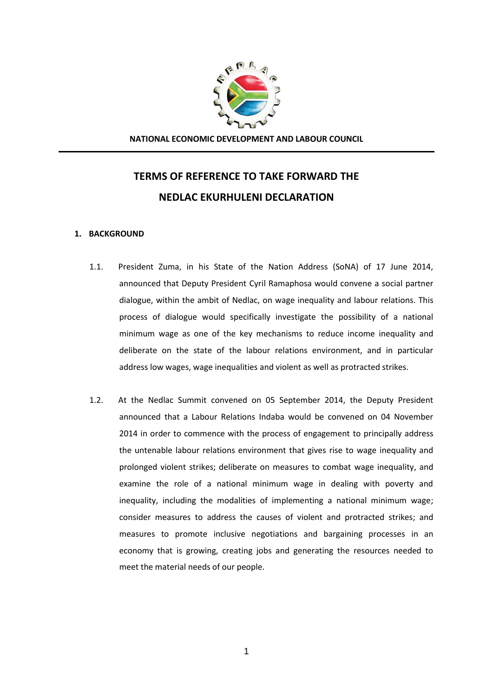

**NATIONAL ECONOMIC DEVELOPMENT AND LABOUR COUNCIL**

# **TERMS OF REFERENCE TO TAKE FORWARD THE NEDLAC EKURHULENI DECLARATION**

### **1. BACKGROUND**

- 1.1. President Zuma, in his State of the Nation Address (SoNA) of 17 June 2014, announced that Deputy President Cyril Ramaphosa would convene a social partner dialogue, within the ambit of Nedlac, on wage inequality and labour relations. This process of dialogue would specifically investigate the possibility of a national minimum wage as one of the key mechanisms to reduce income inequality and deliberate on the state of the labour relations environment, and in particular address low wages, wage inequalities and violent as well as protracted strikes.
- 1.2. At the Nedlac Summit convened on 05 September 2014, the Deputy President announced that a Labour Relations Indaba would be convened on 04 November 2014 in order to commence with the process of engagement to principally address the untenable labour relations environment that gives rise to wage inequality and prolonged violent strikes; deliberate on measures to combat wage inequality, and examine the role of a national minimum wage in dealing with poverty and inequality, including the modalities of implementing a national minimum wage; consider measures to address the causes of violent and protracted strikes; and measures to promote inclusive negotiations and bargaining processes in an economy that is growing, creating jobs and generating the resources needed to meet the material needs of our people.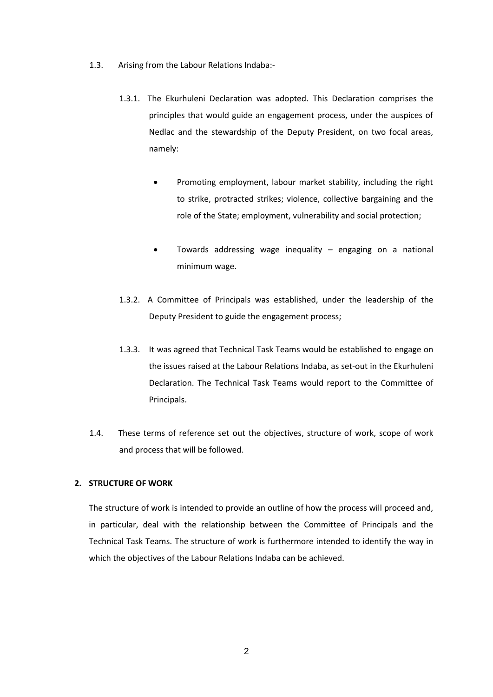- 1.3. Arising from the Labour Relations Indaba:-
	- 1.3.1. The Ekurhuleni Declaration was adopted. This Declaration comprises the principles that would guide an engagement process, under the auspices of Nedlac and the stewardship of the Deputy President, on two focal areas, namely:
		- Promoting employment, labour market stability, including the right to strike, protracted strikes; violence, collective bargaining and the role of the State; employment, vulnerability and social protection;
		- Towards addressing wage inequality engaging on a national minimum wage.
	- 1.3.2. A Committee of Principals was established, under the leadership of the Deputy President to guide the engagement process;
	- 1.3.3. It was agreed that Technical Task Teams would be established to engage on the issues raised at the Labour Relations Indaba, as set-out in the Ekurhuleni Declaration. The Technical Task Teams would report to the Committee of Principals.
- 1.4. These terms of reference set out the objectives, structure of work, scope of work and process that will be followed.

### **2. STRUCTURE OF WORK**

The structure of work is intended to provide an outline of how the process will proceed and, in particular, deal with the relationship between the Committee of Principals and the Technical Task Teams. The structure of work is furthermore intended to identify the way in which the objectives of the Labour Relations Indaba can be achieved.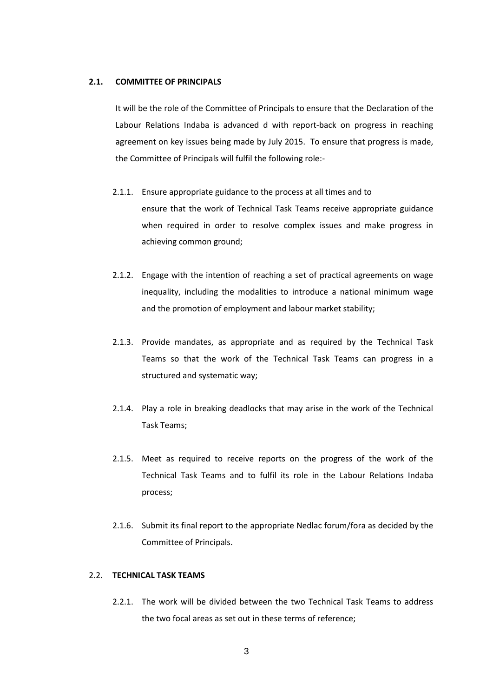#### **2.1. COMMITTEE OF PRINCIPALS**

It will be the role of the Committee of Principals to ensure that the Declaration of the Labour Relations Indaba is advanced d with report-back on progress in reaching agreement on key issues being made by July 2015. To ensure that progress is made, the Committee of Principals will fulfil the following role:-

- 2.1.1. Ensure appropriate guidance to the process at all times and to ensure that the work of Technical Task Teams receive appropriate guidance when required in order to resolve complex issues and make progress in achieving common ground;
- 2.1.2. Engage with the intention of reaching a set of practical agreements on wage inequality, including the modalities to introduce a national minimum wage and the promotion of employment and labour market stability;
- 2.1.3. Provide mandates, as appropriate and as required by the Technical Task Teams so that the work of the Technical Task Teams can progress in a structured and systematic way;
- 2.1.4. Play a role in breaking deadlocks that may arise in the work of the Technical Task Teams;
- 2.1.5. Meet as required to receive reports on the progress of the work of the Technical Task Teams and to fulfil its role in the Labour Relations Indaba process;
- 2.1.6. Submit its final report to the appropriate Nedlac forum/fora as decided by the Committee of Principals.

## 2.2. **TECHNICAL TASK TEAMS**

2.2.1. The work will be divided between the two Technical Task Teams to address the two focal areas as set out in these terms of reference;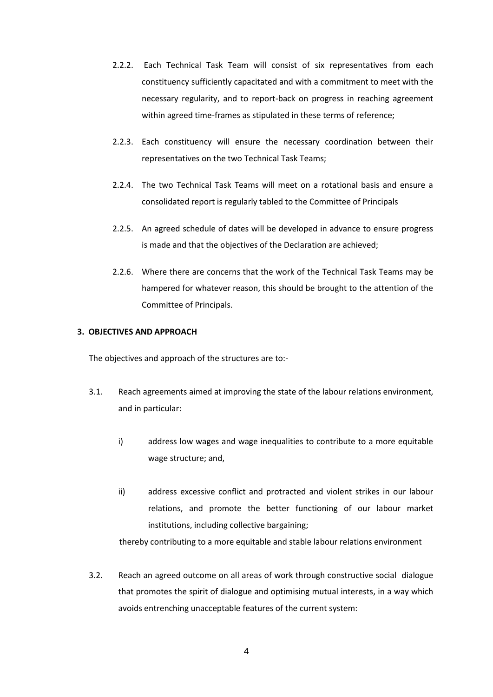- 2.2.2. Each Technical Task Team will consist of six representatives from each constituency sufficiently capacitated and with a commitment to meet with the necessary regularity, and to report-back on progress in reaching agreement within agreed time-frames as stipulated in these terms of reference;
- 2.2.3. Each constituency will ensure the necessary coordination between their representatives on the two Technical Task Teams;
- 2.2.4. The two Technical Task Teams will meet on a rotational basis and ensure a consolidated report is regularly tabled to the Committee of Principals
- 2.2.5. An agreed schedule of dates will be developed in advance to ensure progress is made and that the objectives of the Declaration are achieved;
- 2.2.6. Where there are concerns that the work of the Technical Task Teams may be hampered for whatever reason, this should be brought to the attention of the Committee of Principals.

### **3. OBJECTIVES AND APPROACH**

The objectives and approach of the structures are to:-

- 3.1. Reach agreements aimed at improving the state of the labour relations environment, and in particular:
	- i) address low wages and wage inequalities to contribute to a more equitable wage structure; and,
	- ii) address excessive conflict and protracted and violent strikes in our labour relations, and promote the better functioning of our labour market institutions, including collective bargaining;

thereby contributing to a more equitable and stable labour relations environment

3.2. Reach an agreed outcome on all areas of work through constructive social dialogue that promotes the spirit of dialogue and optimising mutual interests, in a way which avoids entrenching unacceptable features of the current system: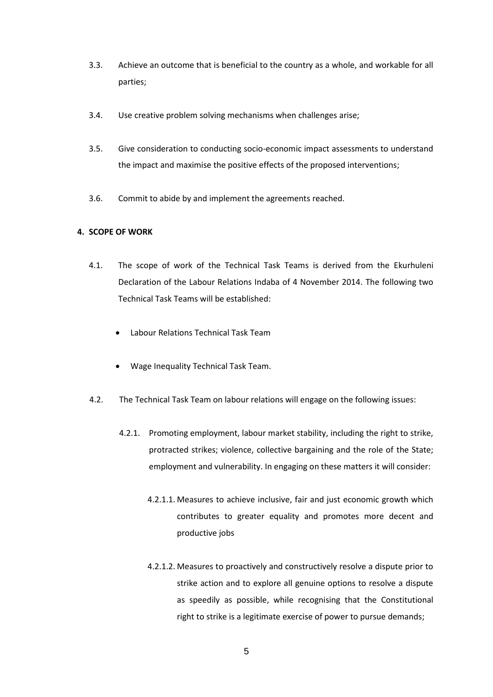- 3.3. Achieve an outcome that is beneficial to the country as a whole, and workable for all parties;
- 3.4. Use creative problem solving mechanisms when challenges arise;
- 3.5. Give consideration to conducting socio-economic impact assessments to understand the impact and maximise the positive effects of the proposed interventions;
- 3.6. Commit to abide by and implement the agreements reached.

## **4. SCOPE OF WORK**

- 4.1. The scope of work of the Technical Task Teams is derived from the Ekurhuleni Declaration of the Labour Relations Indaba of 4 November 2014. The following two Technical Task Teams will be established:
	- Labour Relations Technical Task Team
	- Wage Inequality Technical Task Team.
- 4.2. The Technical Task Team on labour relations will engage on the following issues:
	- 4.2.1. Promoting employment, labour market stability, including the right to strike, protracted strikes; violence, collective bargaining and the role of the State; employment and vulnerability. In engaging on these matters it will consider:
		- 4.2.1.1. Measures to achieve inclusive, fair and just economic growth which contributes to greater equality and promotes more decent and productive jobs
		- 4.2.1.2. Measures to proactively and constructively resolve a dispute prior to strike action and to explore all genuine options to resolve a dispute as speedily as possible, while recognising that the Constitutional right to strike is a legitimate exercise of power to pursue demands;

5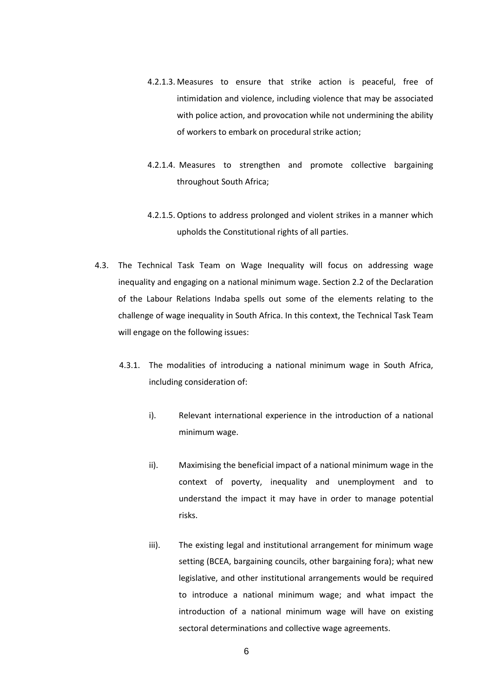- 4.2.1.3. Measures to ensure that strike action is peaceful, free of intimidation and violence, including violence that may be associated with police action, and provocation while not undermining the ability of workers to embark on procedural strike action;
- 4.2.1.4. Measures to strengthen and promote collective bargaining throughout South Africa;
- 4.2.1.5. Options to address prolonged and violent strikes in a manner which upholds the Constitutional rights of all parties.
- 4.3. The Technical Task Team on Wage Inequality will focus on addressing wage inequality and engaging on a national minimum wage. Section 2.2 of the Declaration of the Labour Relations Indaba spells out some of the elements relating to the challenge of wage inequality in South Africa. In this context, the Technical Task Team will engage on the following issues:
	- 4.3.1. The modalities of introducing a national minimum wage in South Africa, including consideration of:
		- i). Relevant international experience in the introduction of a national minimum wage.
		- ii). Maximising the beneficial impact of a national minimum wage in the context of poverty, inequality and unemployment and to understand the impact it may have in order to manage potential risks.
		- iii). The existing legal and institutional arrangement for minimum wage setting (BCEA, bargaining councils, other bargaining fora); what new legislative, and other institutional arrangements would be required to introduce a national minimum wage; and what impact the introduction of a national minimum wage will have on existing sectoral determinations and collective wage agreements.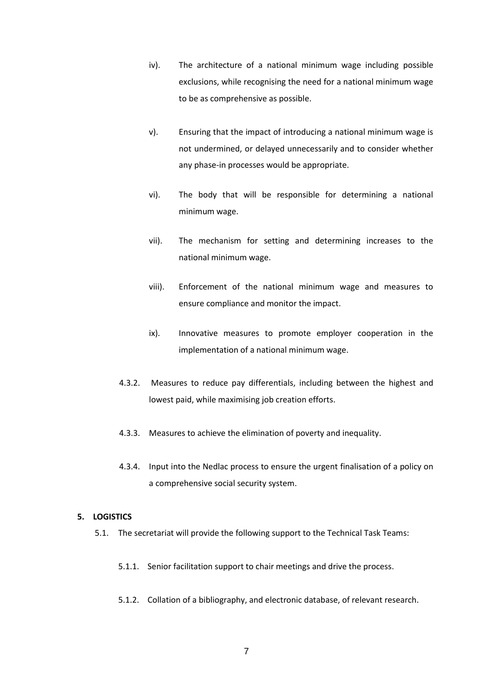- iv). The architecture of a national minimum wage including possible exclusions, while recognising the need for a national minimum wage to be as comprehensive as possible.
- v). Ensuring that the impact of introducing a national minimum wage is not undermined, or delayed unnecessarily and to consider whether any phase-in processes would be appropriate.
- vi). The body that will be responsible for determining a national minimum wage.
- vii). The mechanism for setting and determining increases to the national minimum wage.
- viii). Enforcement of the national minimum wage and measures to ensure compliance and monitor the impact.
- ix). Innovative measures to promote employer cooperation in the implementation of a national minimum wage.
- 4.3.2. Measures to reduce pay differentials, including between the highest and lowest paid, while maximising job creation efforts.
- 4.3.3. Measures to achieve the elimination of poverty and inequality.
- 4.3.4. Input into the Nedlac process to ensure the urgent finalisation of a policy on a comprehensive social security system.

## **5. LOGISTICS**

- 5.1. The secretariat will provide the following support to the Technical Task Teams:
	- 5.1.1. Senior facilitation support to chair meetings and drive the process.
	- 5.1.2. Collation of a bibliography, and electronic database, of relevant research.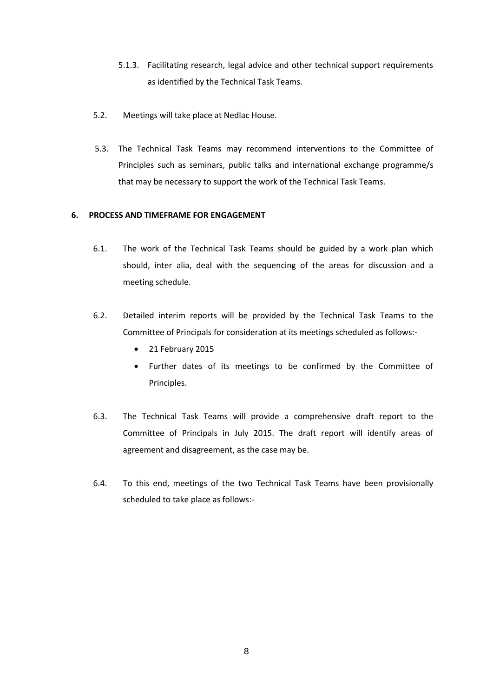- 5.1.3. Facilitating research, legal advice and other technical support requirements as identified by the Technical Task Teams.
- 5.2. Meetings will take place at Nedlac House.
- 5.3. The Technical Task Teams may recommend interventions to the Committee of Principles such as seminars, public talks and international exchange programme/s that may be necessary to support the work of the Technical Task Teams.

## **6. PROCESS AND TIMEFRAME FOR ENGAGEMENT**

- 6.1. The work of the Technical Task Teams should be guided by a work plan which should, inter alia, deal with the sequencing of the areas for discussion and a meeting schedule.
- 6.2. Detailed interim reports will be provided by the Technical Task Teams to the Committee of Principals for consideration at its meetings scheduled as follows:-
	- 21 February 2015
	- Further dates of its meetings to be confirmed by the Committee of Principles.
- 6.3. The Technical Task Teams will provide a comprehensive draft report to the Committee of Principals in July 2015. The draft report will identify areas of agreement and disagreement, as the case may be.
- 6.4. To this end, meetings of the two Technical Task Teams have been provisionally scheduled to take place as follows:-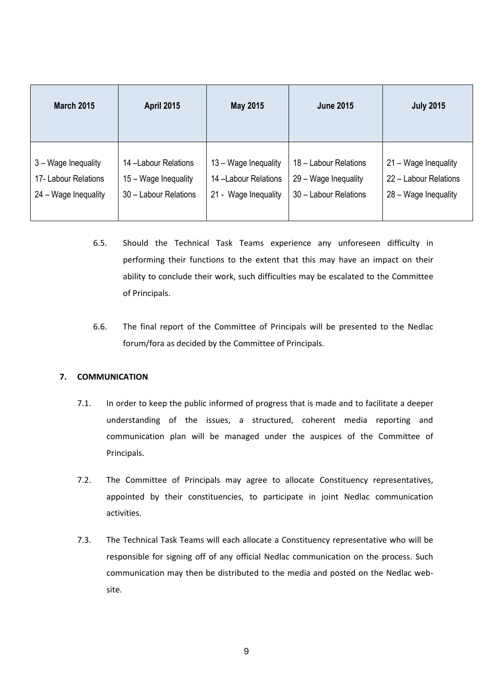| <b>March 2015</b>    | <b>April 2015</b>     | May 2015             | <b>June 2015</b>      | <b>July 2015</b>      |
|----------------------|-----------------------|----------------------|-----------------------|-----------------------|
| 3 – Wage Inequality  | 14 -Labour Relations  | 13 - Wage Inequality | 18 - Labour Relations | 21 – Wage Inequality  |
| 17- Labour Relations | 15 – Wage Inequality  | 14 -Labour Relations | 29 - Wage Inequality  | 22 - Labour Relations |
| 24 - Wage Inequality | 30 - Labour Relations | 21 - Wage Inequality | 30 - Labour Relations | 28 - Wage Inequality  |

- 6.5. Should the Technical Task Teams experience any unforeseen difficulty in performing their functions to the extent that this may have an impact on their ability to conclude their work, such difficulties may be escalated to the Committee of Principals.
- 6.6. The final report of the Committee of Principals will be presented to the Nedlac forum/fora as decided by the Committee of Principals.

## **7. COMMUNICATION**

- 7.1. In order to keep the public informed of progress that is made and to facilitate a deeper understanding of the issues, a structured, coherent media reporting and communication plan will be managed under the auspices of the Committee of Principals.
- 7.2. The Committee of Principals may agree to allocate Constituency representatives, appointed by their constituencies, to participate in joint Nedlac communication activities.
- 7.3. The Technical Task Teams will each allocate a Constituency representative who will be responsible for signing off of any official Nedlac communication on the process. Such communication may then be distributed to the media and posted on the Nedlac website.